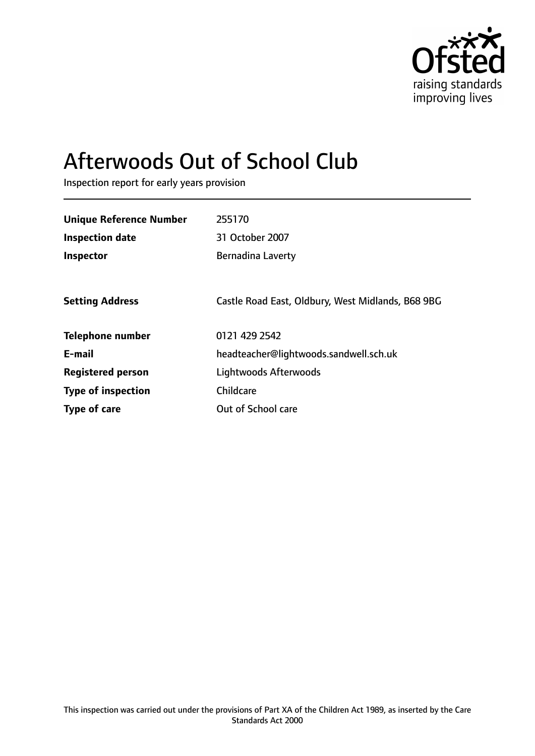

# Afterwoods Out of School Club

Inspection report for early years provision

| <b>Unique Reference Number</b> | 255170                                            |
|--------------------------------|---------------------------------------------------|
| <b>Inspection date</b>         | 31 October 2007                                   |
| Inspector                      | <b>Bernadina Laverty</b>                          |
|                                |                                                   |
| <b>Setting Address</b>         | Castle Road East, Oldbury, West Midlands, B68 9BG |
| <b>Telephone number</b>        | 0121 429 2542                                     |
| E-mail                         | headteacher@lightwoods.sandwell.sch.uk            |
| <b>Registered person</b>       | Lightwoods Afterwoods                             |
| <b>Type of inspection</b>      | Childcare                                         |
| Type of care                   | Out of School care                                |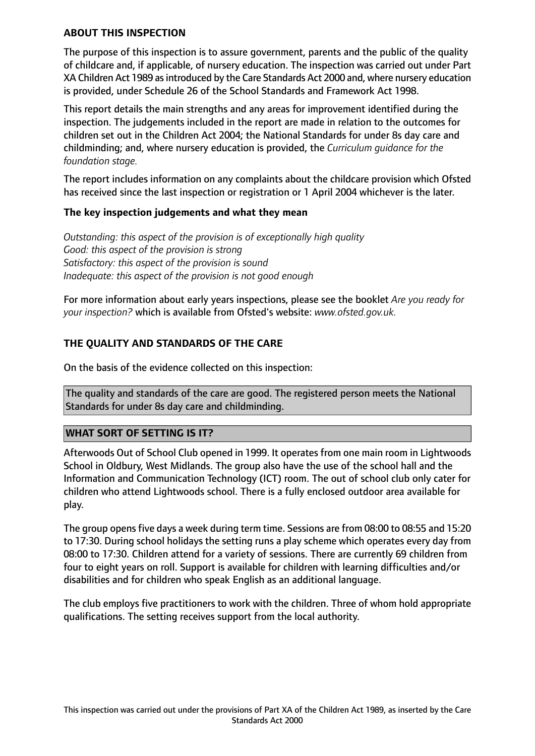## **ABOUT THIS INSPECTION**

The purpose of this inspection is to assure government, parents and the public of the quality of childcare and, if applicable, of nursery education. The inspection was carried out under Part XA Children Act 1989 as introduced by the Care Standards Act 2000 and, where nursery education is provided, under Schedule 26 of the School Standards and Framework Act 1998.

This report details the main strengths and any areas for improvement identified during the inspection. The judgements included in the report are made in relation to the outcomes for children set out in the Children Act 2004; the National Standards for under 8s day care and childminding; and, where nursery education is provided, the *Curriculum guidance for the foundation stage.*

The report includes information on any complaints about the childcare provision which Ofsted has received since the last inspection or registration or 1 April 2004 whichever is the later.

## **The key inspection judgements and what they mean**

*Outstanding: this aspect of the provision is of exceptionally high quality Good: this aspect of the provision is strong Satisfactory: this aspect of the provision is sound Inadequate: this aspect of the provision is not good enough*

For more information about early years inspections, please see the booklet *Are you ready for your inspection?* which is available from Ofsted's website: *www.ofsted.gov.uk.*

# **THE QUALITY AND STANDARDS OF THE CARE**

On the basis of the evidence collected on this inspection:

The quality and standards of the care are good. The registered person meets the National Standards for under 8s day care and childminding.

#### **WHAT SORT OF SETTING IS IT?**

Afterwoods Out of School Club opened in 1999. It operates from one main room in Lightwoods School in Oldbury, West Midlands. The group also have the use of the school hall and the Information and Communication Technology (ICT) room. The out of school club only cater for children who attend Lightwoods school. There is a fully enclosed outdoor area available for play.

The group opens five days a week during term time. Sessions are from 08:00 to 08:55 and 15:20 to 17:30. During school holidays the setting runs a play scheme which operates every day from 08:00 to 17:30. Children attend for a variety of sessions. There are currently 69 children from four to eight years on roll. Support is available for children with learning difficulties and/or disabilities and for children who speak English as an additional language.

The club employs five practitioners to work with the children. Three of whom hold appropriate qualifications. The setting receives support from the local authority.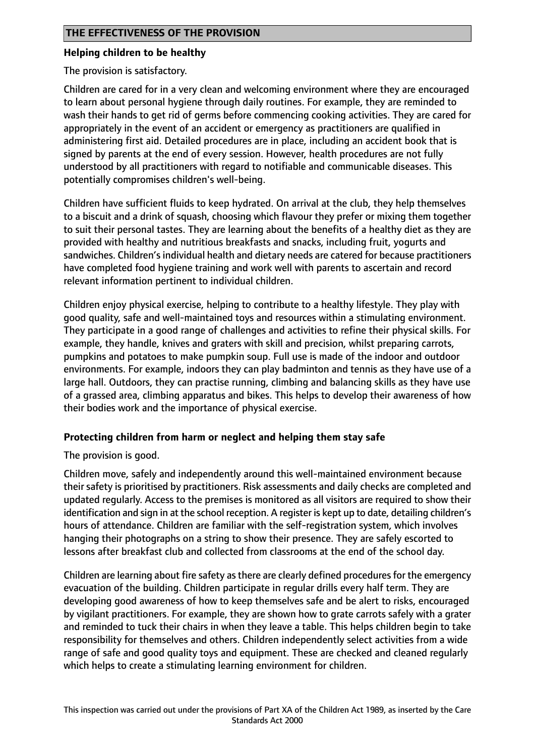#### **Helping children to be healthy**

The provision is satisfactory.

Children are cared for in a very clean and welcoming environment where they are encouraged to learn about personal hygiene through daily routines. For example, they are reminded to wash their hands to get rid of germs before commencing cooking activities. They are cared for appropriately in the event of an accident or emergency as practitioners are qualified in administering first aid. Detailed procedures are in place, including an accident book that is signed by parents at the end of every session. However, health procedures are not fully understood by all practitioners with regard to notifiable and communicable diseases. This potentially compromises children's well-being.

Children have sufficient fluids to keep hydrated. On arrival at the club, they help themselves to a biscuit and a drink of squash, choosing which flavour they prefer or mixing them together to suit their personal tastes. They are learning about the benefits of a healthy diet as they are provided with healthy and nutritious breakfasts and snacks, including fruit, yogurts and sandwiches. Children's individual health and dietary needs are catered for because practitioners have completed food hygiene training and work well with parents to ascertain and record relevant information pertinent to individual children.

Children enjoy physical exercise, helping to contribute to a healthy lifestyle. They play with good quality, safe and well-maintained toys and resources within a stimulating environment. They participate in a good range of challenges and activities to refine their physical skills. For example, they handle, knives and graters with skill and precision, whilst preparing carrots, pumpkins and potatoes to make pumpkin soup. Full use is made of the indoor and outdoor environments. For example, indoors they can play badminton and tennis as they have use of a large hall. Outdoors, they can practise running, climbing and balancing skills as they have use of a grassed area, climbing apparatus and bikes. This helps to develop their awareness of how their bodies work and the importance of physical exercise.

#### **Protecting children from harm or neglect and helping them stay safe**

The provision is good.

Children move, safely and independently around this well-maintained environment because their safety is prioritised by practitioners. Risk assessments and daily checks are completed and updated regularly. Access to the premises is monitored as all visitors are required to show their identification and sign in at the school reception. A register is kept up to date, detailing children's hours of attendance. Children are familiar with the self-registration system, which involves hanging their photographs on a string to show their presence. They are safely escorted to lessons after breakfast club and collected from classrooms at the end of the school day.

Children are learning about fire safety as there are clearly defined procedures for the emergency evacuation of the building. Children participate in regular drills every half term. They are developing good awareness of how to keep themselves safe and be alert to risks, encouraged by vigilant practitioners. For example, they are shown how to grate carrots safely with a grater and reminded to tuck their chairs in when they leave a table. This helps children begin to take responsibility for themselves and others. Children independently select activities from a wide range of safe and good quality toys and equipment. These are checked and cleaned regularly which helps to create a stimulating learning environment for children.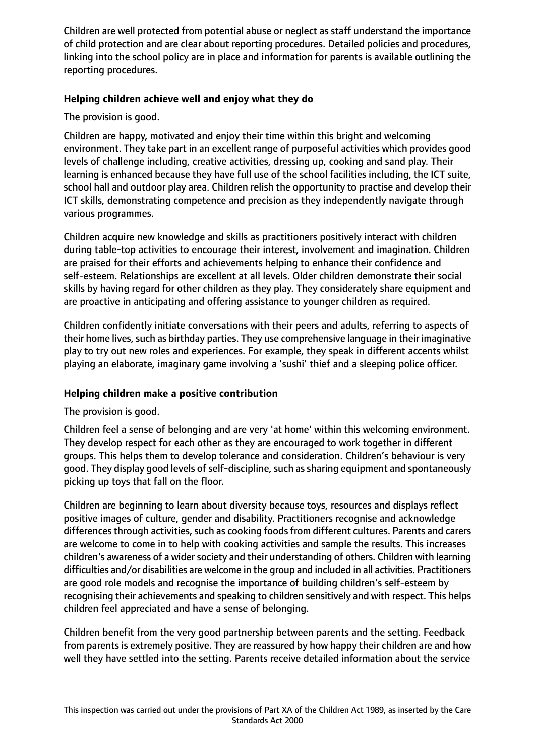Children are well protected from potential abuse or neglect as staff understand the importance of child protection and are clear about reporting procedures. Detailed policies and procedures, linking into the school policy are in place and information for parents is available outlining the reporting procedures.

# **Helping children achieve well and enjoy what they do**

The provision is good.

Children are happy, motivated and enjoy their time within this bright and welcoming environment. They take part in an excellent range of purposeful activities which provides good levels of challenge including, creative activities, dressing up, cooking and sand play. Their learning is enhanced because they have full use of the school facilities including, the ICT suite, school hall and outdoor play area. Children relish the opportunity to practise and develop their ICT skills, demonstrating competence and precision as they independently navigate through various programmes.

Children acquire new knowledge and skills as practitioners positively interact with children during table-top activities to encourage their interest, involvement and imagination. Children are praised for their efforts and achievements helping to enhance their confidence and self-esteem. Relationships are excellent at all levels. Older children demonstrate their social skills by having regard for other children as they play. They considerately share equipment and are proactive in anticipating and offering assistance to younger children as required.

Children confidently initiate conversations with their peers and adults, referring to aspects of their home lives, such as birthday parties. They use comprehensive language in their imaginative play to try out new roles and experiences. For example, they speak in different accents whilst playing an elaborate, imaginary game involving a 'sushi' thief and a sleeping police officer.

#### **Helping children make a positive contribution**

The provision is good.

Children feel a sense of belonging and are very 'at home' within this welcoming environment. They develop respect for each other as they are encouraged to work together in different groups. This helps them to develop tolerance and consideration. Children's behaviour is very good. They display good levels of self-discipline, such as sharing equipment and spontaneously picking up toys that fall on the floor.

Children are beginning to learn about diversity because toys, resources and displays reflect positive images of culture, gender and disability. Practitioners recognise and acknowledge differences through activities, such as cooking foods from different cultures. Parents and carers are welcome to come in to help with cooking activities and sample the results. This increases children's awareness of a wider society and their understanding of others. Children with learning difficulties and/or disabilities are welcome in the group and included in all activities. Practitioners are good role models and recognise the importance of building children's self-esteem by recognising their achievements and speaking to children sensitively and with respect. This helps children feel appreciated and have a sense of belonging.

Children benefit from the very good partnership between parents and the setting. Feedback from parents is extremely positive. They are reassured by how happy their children are and how well they have settled into the setting. Parents receive detailed information about the service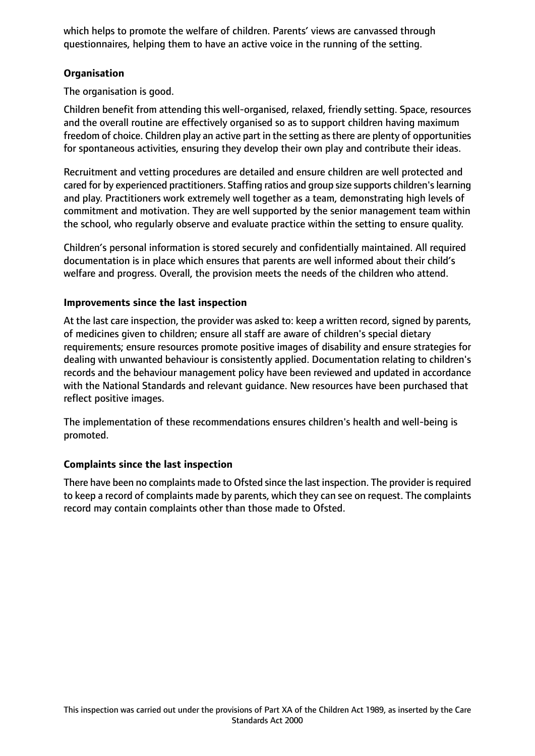which helps to promote the welfare of children. Parents' views are canvassed through questionnaires, helping them to have an active voice in the running of the setting.

# **Organisation**

The organisation is good.

Children benefit from attending this well-organised, relaxed, friendly setting. Space, resources and the overall routine are effectively organised so as to support children having maximum freedom of choice. Children play an active part in the setting asthere are plenty of opportunities for spontaneous activities, ensuring they develop their own play and contribute their ideas.

Recruitment and vetting procedures are detailed and ensure children are well protected and cared for by experienced practitioners. Staffing ratios and group size supports children'slearning and play. Practitioners work extremely well together as a team, demonstrating high levels of commitment and motivation. They are well supported by the senior management team within the school, who regularly observe and evaluate practice within the setting to ensure quality.

Children's personal information is stored securely and confidentially maintained. All required documentation is in place which ensures that parents are well informed about their child's welfare and progress. Overall, the provision meets the needs of the children who attend.

#### **Improvements since the last inspection**

At the last care inspection, the provider was asked to: keep a written record, signed by parents, of medicines given to children; ensure all staff are aware of children's special dietary requirements; ensure resources promote positive images of disability and ensure strategies for dealing with unwanted behaviour is consistently applied. Documentation relating to children's records and the behaviour management policy have been reviewed and updated in accordance with the National Standards and relevant guidance. New resources have been purchased that reflect positive images.

The implementation of these recommendations ensures children's health and well-being is promoted.

#### **Complaints since the last inspection**

There have been no complaints made to Ofsted since the last inspection. The provider is required to keep a record of complaints made by parents, which they can see on request. The complaints record may contain complaints other than those made to Ofsted.